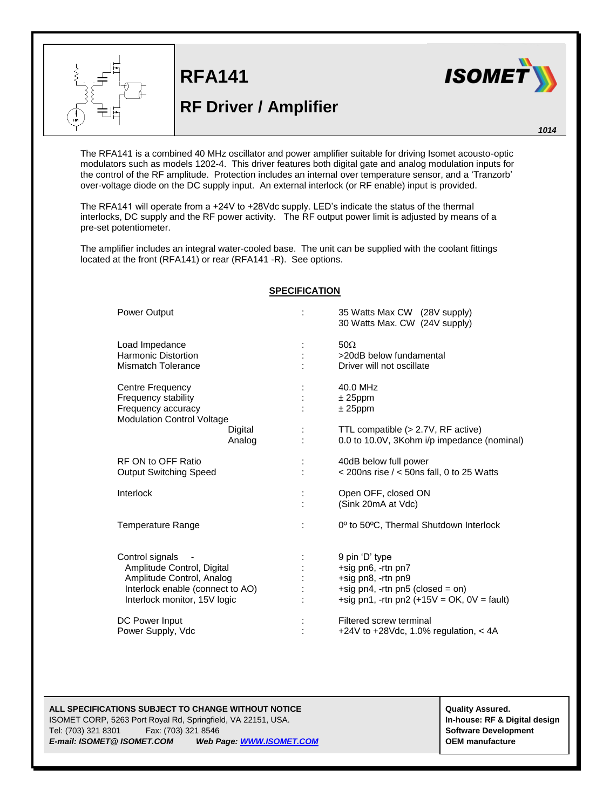

**RFA141 RF Driver / Amplifier**



*1014*

The RFA141 is a combined 40 MHz oscillator and power amplifier suitable for driving Isomet acousto-optic modulators such as models 1202-4. This driver features both digital gate and analog modulation inputs for the control of the RF amplitude. Protection includes an internal over temperature sensor, and a 'Tranzorb' over-voltage diode on the DC supply input. An external interlock (or RF enable) input is provided.

The RFA141 will operate from a +24V to +28Vdc supply. LED's indicate the status of the thermal interlocks, DC supply and the RF power activity. The RF output power limit is adjusted by means of a pre-set potentiometer.

The amplifier includes an integral water-cooled base. The unit can be supplied with the coolant fittings located at the front (RFA141) or rear (RFA141 -R). See options.

| <b>Power Output</b>                                                                                                                            | 35 Watts Max CW (28V supply)<br>30 Watts Max. CW (24V supply)                                                                                        |
|------------------------------------------------------------------------------------------------------------------------------------------------|------------------------------------------------------------------------------------------------------------------------------------------------------|
| Load Impedance<br><b>Harmonic Distortion</b><br><b>Mismatch Tolerance</b>                                                                      | $50\Omega$<br>>20dB below fundamental<br>Driver will not oscillate                                                                                   |
| Centre Frequency<br>Frequency stability<br>Frequency accuracy<br><b>Modulation Control Voltage</b><br>Digital                                  | 40.0 MHz<br>$± 25$ ppm<br>$± 25$ ppm<br>TTL compatible (> 2.7V, RF active)                                                                           |
| Analog                                                                                                                                         | 0.0 to 10.0V, 3Kohm i/p impedance (nominal)                                                                                                          |
| RF ON to OFF Ratio<br><b>Output Switching Speed</b>                                                                                            | 40dB below full power<br>$<$ 200ns rise $/$ < 50ns fall, 0 to 25 Watts                                                                               |
| Interlock                                                                                                                                      | Open OFF, closed ON<br>(Sink 20mA at Vdc)                                                                                                            |
| Temperature Range                                                                                                                              | 0 <sup>°</sup> to 50 <sup>°</sup> C. Thermal Shutdown Interlock                                                                                      |
| Control signals<br>Amplitude Control, Digital<br>Amplitude Control, Analog<br>Interlock enable (connect to AO)<br>Interlock monitor, 15V logic | 9 pin 'D' type<br>+sig pn6, -rtn pn7<br>+sig pn8, -rtn pn9<br>$+$ sig pn4, $-$ rtn pn5 (closed = on)<br>+sig pn1, -rtn pn2 $(+15V = OK, 0V = fault)$ |
| DC Power Input<br>Power Supply, Vdc                                                                                                            | Filtered screw terminal<br>+24V to +28Vdc, 1.0% regulation, $<$ 4A                                                                                   |

## **SPECIFICATION**

## **ALL SPECIFICATIONS SUBJECT TO CHANGE WITHOUT NOTICE ALL SPECIFICATIONS SUBJECT TO CHANGE WITHOUT NOTICE**

ISOMET CORP, 5263 Port Royal Rd, Springfield, VA 22151, USA. **In-house: RF & Digital design** Tel: (703) 321 8301 Fax: (703) 321 8546 **Software Development** *E-mail: ISOMET@ ISOMET.COM Web Page[: WWW.ISOMET.COM](http://www.isomet.com/)* **OEM manufacture**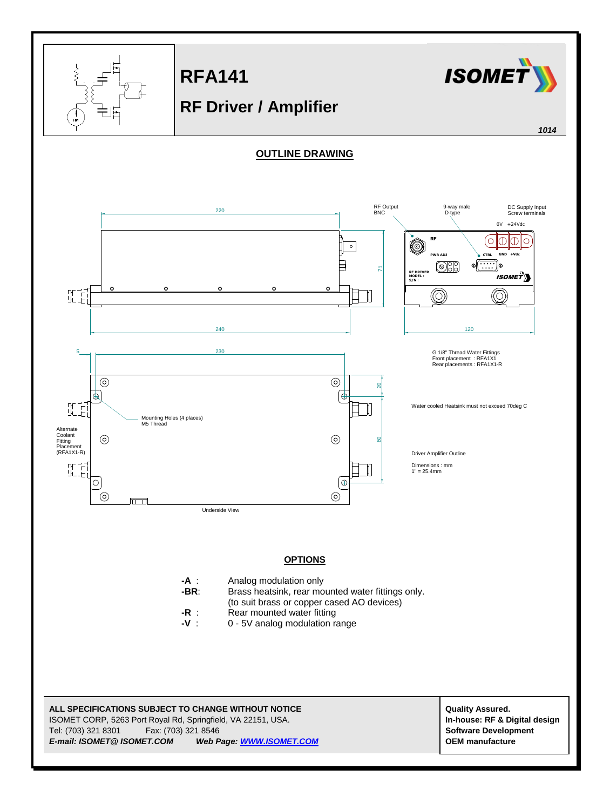